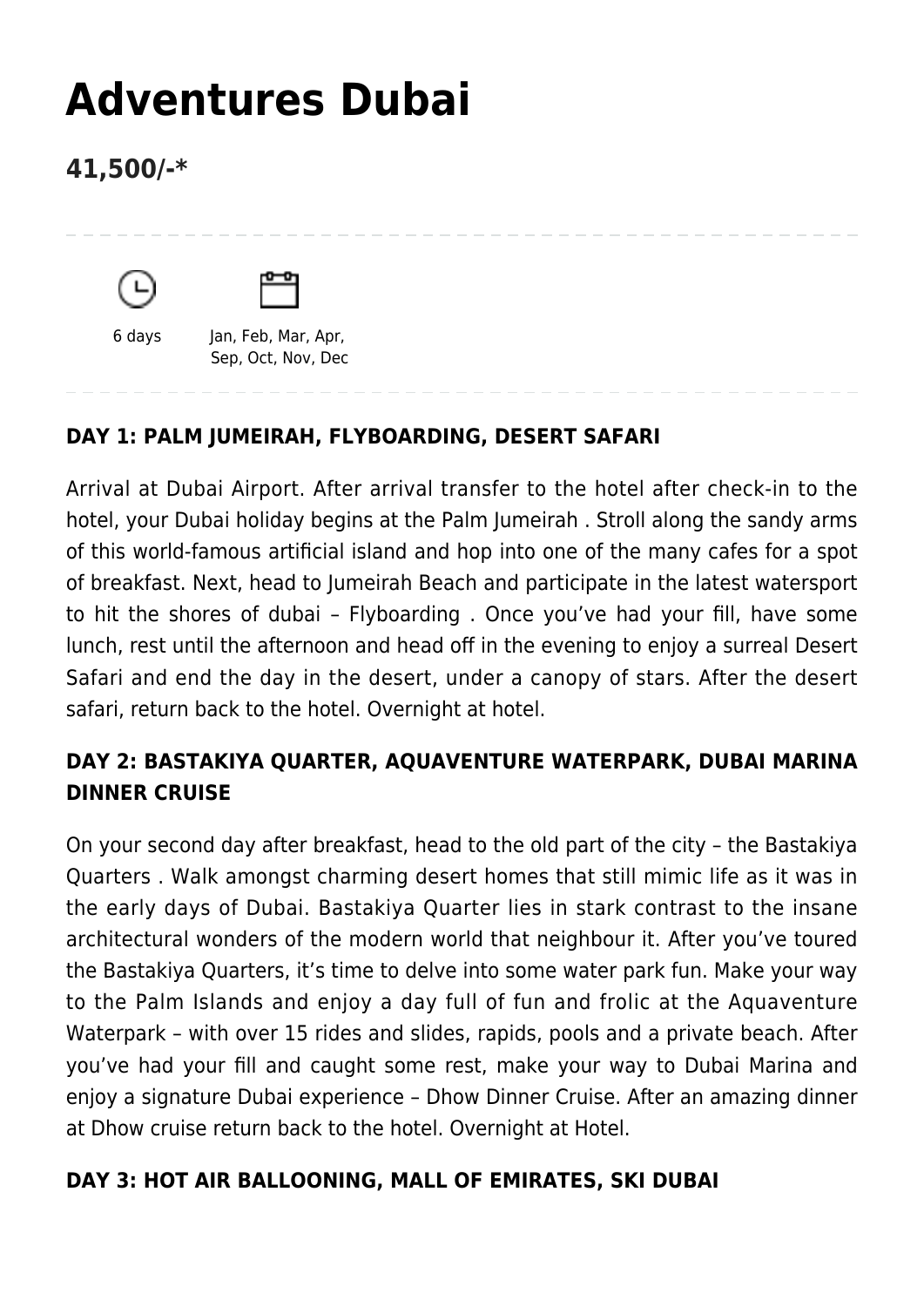# **[Adventures Dubai](https://www.mylastminutetrip.com/tour/adventures-dubai/)**

# **41,500/-\***





6 days Jan, Feb, Mar, Apr, Sep, Oct, Nov, Dec

## **DAY 1: PALM JUMEIRAH, FLYBOARDING, DESERT SAFARI**

Arrival at Dubai Airport. After arrival transfer to the hotel after check-in to the hotel, your Dubai holiday begins at the Palm Jumeirah . Stroll along the sandy arms of this world-famous artificial island and hop into one of the many cafes for a spot of breakfast. Next, head to Jumeirah Beach and participate in the latest watersport to hit the shores of dubai – Flyboarding . Once you've had your fill, have some lunch, rest until the afternoon and head off in the evening to enjoy a surreal Desert Safari and end the day in the desert, under a canopy of stars. After the desert safari, return back to the hotel. Overnight at hotel.

### **DAY 2: BASTAKIYA QUARTER, AQUAVENTURE WATERPARK, DUBAI MARINA DINNER CRUISE**

On your second day after breakfast, head to the old part of the city – the Bastakiya Quarters . Walk amongst charming desert homes that still mimic life as it was in the early days of Dubai. Bastakiya Quarter lies in stark contrast to the insane architectural wonders of the modern world that neighbour it. After you've toured the Bastakiya Quarters, it's time to delve into some water park fun. Make your way to the Palm Islands and enjoy a day full of fun and frolic at the Aquaventure Waterpark – with over 15 rides and slides, rapids, pools and a private beach. After you've had your fill and caught some rest, make your way to Dubai Marina and enjoy a signature Dubai experience – Dhow Dinner Cruise. After an amazing dinner at Dhow cruise return back to the hotel. Overnight at Hotel.

#### **DAY 3: HOT AIR BALLOONING, MALL OF EMIRATES, SKI DUBAI**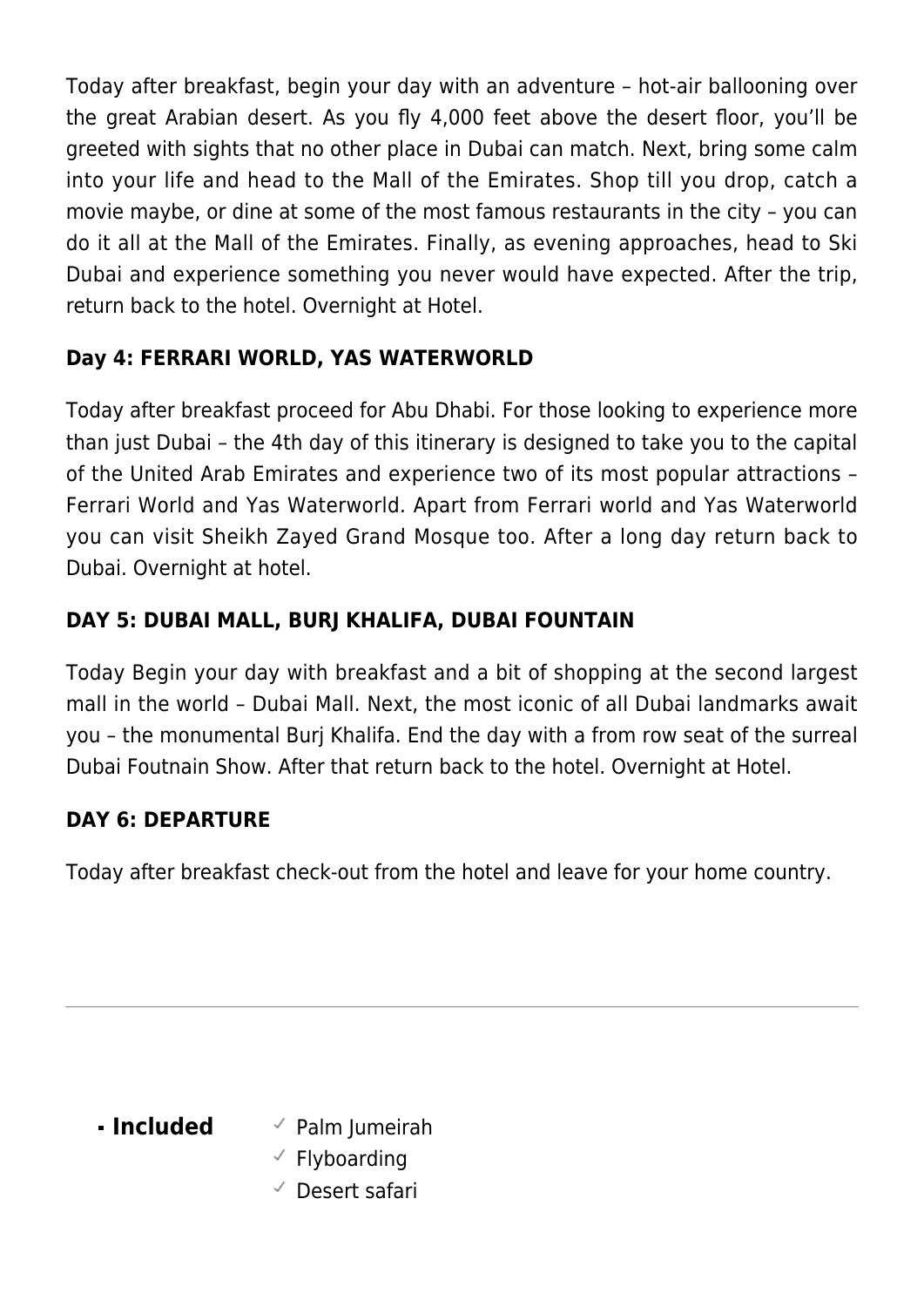Today after breakfast, begin your day with an adventure – hot-air ballooning over the great Arabian desert. As you fly 4,000 feet above the desert floor, you'll be greeted with sights that no other place in Dubai can match. Next, bring some calm into your life and head to the Mall of the Emirates. Shop till you drop, catch a movie maybe, or dine at some of the most famous restaurants in the city – you can do it all at the Mall of the Emirates. Finally, as evening approaches, head to Ski Dubai and experience something you never would have expected. After the trip, return back to the hotel. Overnight at Hotel.

### **Day 4: FERRARI WORLD, YAS WATERWORLD**

Today after breakfast proceed for Abu Dhabi. For those looking to experience more than just Dubai – the 4th day of this itinerary is designed to take you to the capital of the United Arab Emirates and experience two of its most popular attractions – Ferrari World and Yas Waterworld. Apart from Ferrari world and Yas Waterworld you can visit Sheikh Zayed Grand Mosque too. After a long day return back to Dubai. Overnight at hotel.

### **DAY 5: DUBAI MALL, BURJ KHALIFA, DUBAI FOUNTAIN**

Today Begin your day with breakfast and a bit of shopping at the second largest mall in the world – Dubai Mall. Next, the most iconic of all Dubai landmarks await you – the monumental Burj Khalifa. End the day with a from row seat of the surreal Dubai Foutnain Show. After that return back to the hotel. Overnight at Hotel.

#### **DAY 6: DEPARTURE**

Today after breakfast check-out from the hotel and leave for your home country.

- **Included** <br>
Palm Jumeirah
	- $\checkmark$  Flyboarding
	- Desert safari